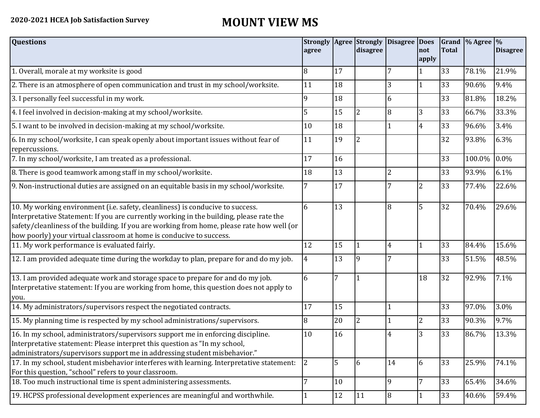## **2020-2021 HCEA Job Satisfaction Survey MOUNT VIEW MS**

| <b>Questions</b>                                                                                                                                                                                                                                                                                                                               | agree          |    | <b>Strongly Agree Strongly</b><br>disagree | Disagree Does  | not            | <b>Total</b> | Grand % Agree % | <b>Disagree</b> |
|------------------------------------------------------------------------------------------------------------------------------------------------------------------------------------------------------------------------------------------------------------------------------------------------------------------------------------------------|----------------|----|--------------------------------------------|----------------|----------------|--------------|-----------------|-----------------|
|                                                                                                                                                                                                                                                                                                                                                |                |    |                                            |                | apply          |              |                 |                 |
| 1. Overall, morale at my worksite is good                                                                                                                                                                                                                                                                                                      | 8              | 17 |                                            | 7              | 1              | 33           | 78.1%           | 21.9%           |
| 2. There is an atmosphere of open communication and trust in my school/worksite.                                                                                                                                                                                                                                                               | 11             | 18 |                                            | 3              | 1              | 33           | 90.6%           | 9.4%            |
| 3. I personally feel successful in my work.                                                                                                                                                                                                                                                                                                    | q              | 18 |                                            | 6              |                | 33           | 81.8%           | 18.2%           |
| 4. I feel involved in decision-making at my school/worksite.                                                                                                                                                                                                                                                                                   | 5              | 15 | $\overline{2}$                             | 8              | 3              | 33           | 66.7%           | 33.3%           |
| 5. I want to be involved in decision-making at my school/worksite.                                                                                                                                                                                                                                                                             | 10             | 18 |                                            |                | $\overline{4}$ | 33           | 96.6%           | 3.4%            |
| 6. In my school/worksite, I can speak openly about important issues without fear of<br>repercussions.                                                                                                                                                                                                                                          | 11             | 19 | $\overline{2}$                             |                |                | 32           | 93.8%           | 6.3%            |
| 7. In my school/worksite, I am treated as a professional.                                                                                                                                                                                                                                                                                      | 17             | 16 |                                            |                |                | 33           | 100.0%          | $0.0\%$         |
| 8. There is good teamwork among staff in my school/worksite.                                                                                                                                                                                                                                                                                   | 18             | 13 |                                            | $\overline{2}$ |                | 33           | 93.9%           | 6.1%            |
| 9. Non-instructional duties are assigned on an equitable basis in my school/worksite.                                                                                                                                                                                                                                                          | 7              | 17 |                                            | 7              | $\overline{2}$ | 33           | 77.4%           | 22.6%           |
| 10. My working environment (i.e. safety, cleanliness) is conducive to success.<br>Interpretative Statement: If you are currently working in the building, please rate the<br>safety/cleanliness of the building. If you are working from home, please rate how well (or<br>how poorly) your virtual classroom at home is conducive to success. | 6              | 13 |                                            | 8              | 5              | 32           | 70.4%           | 29.6%           |
| 11. My work performance is evaluated fairly.                                                                                                                                                                                                                                                                                                   | 12             | 15 |                                            | 4              | 1              | 33           | 84.4%           | 15.6%           |
| 12. I am provided adequate time during the workday to plan, prepare for and do my job.                                                                                                                                                                                                                                                         | $\overline{4}$ | 13 | 19                                         |                |                | 33           | 51.5%           | 48.5%           |
| 13. I am provided adequate work and storage space to prepare for and do my job.<br>Interpretative statement: If you are working from home, this question does not apply to<br>you.                                                                                                                                                             | 6              | 7  |                                            |                | 18             | 32           | 92.9%           | 7.1%            |
| 14. My administrators/supervisors respect the negotiated contracts.                                                                                                                                                                                                                                                                            | 17             | 15 |                                            |                |                | 33           | 97.0%           | 3.0%            |
| 15. My planning time is respected by my school administrations/supervisors.                                                                                                                                                                                                                                                                    | 8              | 20 | <sup>2</sup>                               |                | $\overline{2}$ | 33           | 90.3%           | 9.7%            |
| 16. In my school, administrators/supervisors support me in enforcing discipline.<br>Interpretative statement: Please interpret this question as "In my school,<br>administrators/supervisors support me in addressing student misbehavior."                                                                                                    | 10             | 16 |                                            | 4              | 3              | 33           | 86.7%           | 13.3%           |
| 17. In my school, student misbehavior interferes with learning. Interpretative statement:<br>For this question, "school" refers to your classroom.                                                                                                                                                                                             | 2              | 5  | 6                                          | 14             | 6              | 33           | 25.9%           | 74.1%           |
| 18. Too much instructional time is spent administering assessments.                                                                                                                                                                                                                                                                            | 7              | 10 |                                            | 9              | 7              | 33           | 65.4%           | 34.6%           |
| 19. HCPSS professional development experiences are meaningful and worthwhile.                                                                                                                                                                                                                                                                  |                | 12 | <sup>11</sup>                              | $\overline{8}$ |                | 33           | 40.6%           | 59.4%           |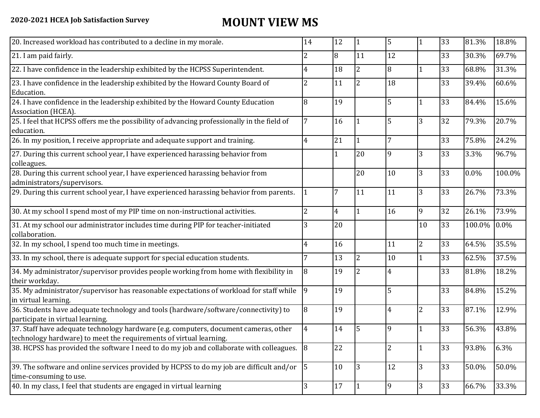## **2020-2021 HCEA Job Satisfaction Survey MOUNT VIEW MS**

| 20. Increased workload has contributed to a decline in my morale.                                                                                          | 14             | 12             | 1              | 5  |                | 33 | 81.3%  | 18.8%   |
|------------------------------------------------------------------------------------------------------------------------------------------------------------|----------------|----------------|----------------|----|----------------|----|--------|---------|
| 21. I am paid fairly.                                                                                                                                      | 2              | 8              | 11             | 12 |                | 33 | 30.3%  | 69.7%   |
| 22. I have confidence in the leadership exhibited by the HCPSS Superintendent.                                                                             | 4              | 18             | $\overline{2}$ | 8  |                | 33 | 68.8%  | 31.3%   |
| 23. I have confidence in the leadership exhibited by the Howard County Board of<br>Education.                                                              | 2              | 11             | $\overline{2}$ | 18 |                | 33 | 39.4%  | 60.6%   |
| 24. I have confidence in the leadership exhibited by the Howard County Education<br>Association (HCEA).                                                    | 8              | 19             |                | 5  |                | 33 | 84.4%  | 15.6%   |
| 25. I feel that HCPSS offers me the possibility of advancing professionally in the field of<br>education.                                                  | 7              | 16             |                | 5  | 3              | 32 | 79.3%  | 20.7%   |
| 26. In my position, I receive appropriate and adequate support and training.                                                                               | 4              | 21             | 1              | 7  |                | 33 | 75.8%  | 24.2%   |
| 27. During this current school year, I have experienced harassing behavior from<br>colleagues.                                                             |                | 1              | 20             | 9  | 3              | 33 | 3.3%   | 96.7%   |
| 28. During this current school year, I have experienced harassing behavior from<br>administrators/supervisors.                                             |                |                | 20             | 10 | 3              | 33 | 0.0%   | 100.0%  |
| 29. During this current school year, I have experienced harassing behavior from parents.                                                                   |                | 7              | 11             | 11 | 3              | 33 | 26.7%  | 73.3%   |
| 30. At my school I spend most of my PIP time on non-instructional activities.                                                                              | $\overline{2}$ | $\overline{4}$ | $\mathbf{1}$   | 16 | 9              | 32 | 26.1%  | 73.9%   |
| 31. At my school our administrator includes time during PIP for teacher-initiated<br>collaboration.                                                        | 3              | 20             |                |    | 10             | 33 | 100.0% | $0.0\%$ |
| 32. In my school, I spend too much time in meetings.                                                                                                       | 4              | 16             |                | 11 | $\overline{2}$ | 33 | 64.5%  | 35.5%   |
| 33. In my school, there is adequate support for special education students.                                                                                | 7              | 13             | $\overline{2}$ | 10 |                | 33 | 62.5%  | 37.5%   |
| 34. My administrator/supervisor provides people working from home with flexibility in<br>their workday.                                                    | 8              | 19             | 2              | 4  |                | 33 | 81.8%  | 18.2%   |
| 35. My administrator/supervisor has reasonable expectations of workload for staff while<br>in virtual learning.                                            | 9              | 19             |                | 5  |                | 33 | 84.8%  | 15.2%   |
| 36. Students have adequate technology and tools (hardware/software/connectivity) to<br>participate in virtual learning.                                    | 8              | 19             |                | 4  | $\overline{2}$ | 33 | 87.1%  | 12.9%   |
| 37. Staff have adequate technology hardware (e.g. computers, document cameras, other<br>technology hardware) to meet the requirements of virtual learning. | $\overline{4}$ | 14             | 5              | 9  |                | 33 | 56.3%  | 43.8%   |
| 38. HCPSS has provided the software I need to do my job and collaborate with colleagues. 8                                                                 |                | 22             |                | 2  |                | 33 | 93.8%  | 6.3%    |
| 39. The software and online services provided by HCPSS to do my job are difficult and/or<br>time-consuming to use.                                         | $\overline{5}$ | 10             | 3              | 12 | 3              | 33 | 50.0%  | 50.0%   |
| 40. In my class, I feel that students are engaged in virtual learning                                                                                      | 3              | 17             |                | 9  | 3              | 33 | 66.7%  | 33.3%   |